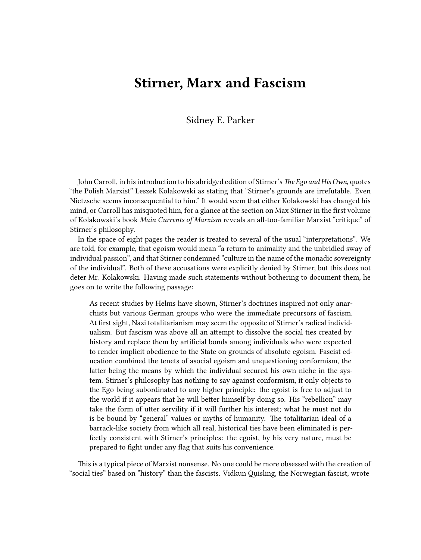## **Stirner, Marx and Fascism**

Sidney E. Parker

John Carroll, in his introduction to his abridged edition of Stirner's *The Ego and His Own*, quotes "the Polish Marxist" Leszek Kolakowski as stating that "Stirner's grounds are irrefutable. Even Nietzsche seems inconsequential to him." It would seem that either Kolakowski has changed his mind, or Carroll has misquoted him, for a glance at the section on Max Stirner in the first volume of Kolakowski's book *Main Currents of Marxism* reveals an all-too-familiar Marxist "critique" of Stirner's philosophy.

In the space of eight pages the reader is treated to several of the usual "interpretations". We are told, for example, that egoism would mean "a return to animality and the unbridled sway of individual passion", and that Stirner condemned "culture in the name of the monadic sovereignty of the individual". Both of these accusations were explicitly denied by Stirner, but this does not deter Mr. Kolakowski. Having made such statements without bothering to document them, he goes on to write the following passage:

As recent studies by Helms have shown, Stirner's doctrines inspired not only anarchists but various German groups who were the immediate precursors of fascism. At first sight, Nazi totalitarianism may seem the opposite of Stirner's radical individualism. But fascism was above all an attempt to dissolve the social ties created by history and replace them by artificial bonds among individuals who were expected to render implicit obedience to the State on grounds of absolute egoism. Fascist education combined the tenets of asocial egoism and unquestioning conformism, the latter being the means by which the individual secured his own niche in the system. Stirner's philosophy has nothing to say against conformism, it only objects to the Ego being subordinated to any higher principle: the egoist is free to adjust to the world if it appears that he will better himself by doing so. His "rebellion" may take the form of utter servility if it will further his interest; what he must not do is be bound by "general" values or myths of humanity. The totalitarian ideal of a barrack-like society from which all real, historical ties have been eliminated is perfectly consistent with Stirner's principles: the egoist, by his very nature, must be prepared to fight under any flag that suits his convenience.

This is a typical piece of Marxist nonsense. No one could be more obsessed with the creation of "social ties" based on "history" than the fascists. Vidkun Quisling, the Norwegian fascist, wrote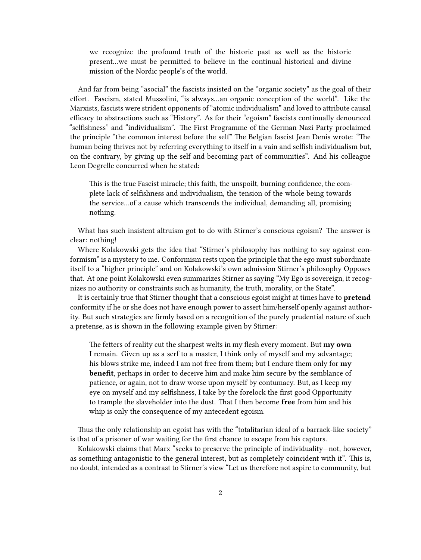we recognize the profound truth of the historic past as well as the historic present…we must be permitted to believe in the continual historical and divine mission of the Nordic people's of the world.

And far from being "asocial" the fascists insisted on the "organic society" as the goal of their effort. Fascism, stated Mussolini, "is always…an organic conception of the world". Like the Marxists, fascists were strident opponents of "atomic individualism" and loved to attribute causal efficacy to abstractions such as "History". As for their "egoism" fascists continually denounced "selfishness" and "individualism". The First Programme of the German Nazi Party proclaimed the principle "the common interest before the self" The Belgian fascist Jean Denis wrote: "The human being thrives not by referring everything to itself in a vain and selfish individualism but, on the contrary, by giving up the self and becoming part of communities". And his colleague Leon Degrelle concurred when he stated:

This is the true Fascist miracle; this faith, the unspoilt, burning confidence, the complete lack of selfishness and individualism, the tension of the whole being towards the service…of a cause which transcends the individual, demanding all, promising nothing.

What has such insistent altruism got to do with Stirner's conscious egoism? The answer is clear: nothing!

Where Kolakowski gets the idea that "Stirner's philosophy has nothing to say against conformism" is a mystery to me. Conformism rests upon the principle that the ego must subordinate itself to a "higher principle" and on Kolakowski's own admission Stirner's philosophy Opposes that. At one point Kolakowski even summarizes Stirner as saying "My Ego is sovereign, it recognizes no authority or constraints such as humanity, the truth, morality, or the State".

It is certainly true that Stirner thought that a conscious egoist might at times have to **pretend** conformity if he or she does not have enough power to assert him/herself openly against authority. But such strategies are firmly based on a recognition of the purely prudential nature of such a pretense, as is shown in the following example given by Stirner:

The fetters of reality cut the sharpest welts in my flesh every moment. But **my own** I remain. Given up as a serf to a master, I think only of myself and my advantage; his blows strike me, indeed I am not free from them; but I endure them only for **my benefit**, perhaps in order to deceive him and make him secure by the semblance of patience, or again, not to draw worse upon myself by contumacy. But, as I keep my eye on myself and my selfishness, I take by the forelock the first good Opportunity to trample the slaveholder into the dust. That I then become **free** from him and his whip is only the consequence of my antecedent egoism.

Thus the only relationship an egoist has with the "totalitarian ideal of a barrack-like society" is that of a prisoner of war waiting for the first chance to escape from his captors.

Kolakowski claims that Marx "seeks to preserve the principle of individuality—not, however, as something antagonistic to the general interest, but as completely coincident with it". This is, no doubt, intended as a contrast to Stirner's view "Let us therefore not aspire to community, but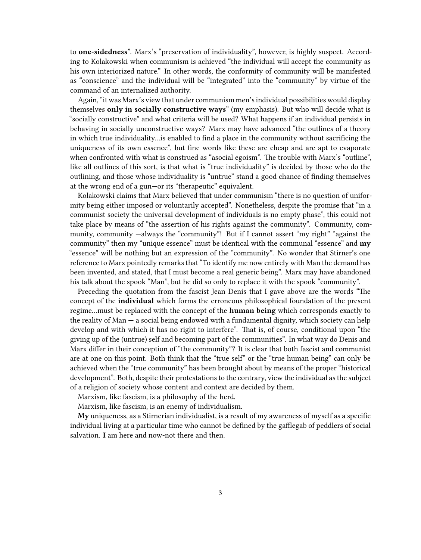to **one-sidedness**". Marx's "preservation of individuality", however, is highly suspect. According to Kolakowski when communism is achieved "the individual will accept the community as his own interiorized nature." In other words, the conformity of community will be manifested as "conscience" and the individual will be "integrated" into the "community" by virtue of the command of an internalized authority.

Again, "it was Marx's view that under communism men's individual possibilities would display themselves **only in socially constructive ways**" (my emphasis). But who will decide what is "socially constructive" and what criteria will be used? What happens if an individual persists in behaving in socially unconstructive ways? Marx may have advanced "the outlines of a theory in which true individuality…is enabled to find a place in the community without sacrificing the uniqueness of its own essence", but fine words like these are cheap and are apt to evaporate when confronted with what is construed as "asocial egoism". The trouble with Marx's "outline", like all outlines of this sort, is that what is "true individuality" is decided by those who do the outlining, and those whose individuality is "untrue" stand a good chance of finding themselves at the wrong end of a gun—or its "therapeutic" equivalent.

Kolakowski claims that Marx believed that under communism "there is no question of uniformity being either imposed or voluntarily accepted". Nonetheless, despite the promise that "in a communist society the universal development of individuals is no empty phase", this could not take place by means of "the assertion of his rights against the community". Community, community, community —always the "community"! But if I cannot assert "my right" "against the community" then my "unique essence" must be identical with the communal "essence" and **my** "essence" will be nothing but an expression of the "community". No wonder that Stirner's one reference to Marx pointedly remarks that "To identify me now entirely with Man the demand has been invented, and stated, that I must become a real generic being". Marx may have abandoned his talk about the spook "Man", but he did so only to replace it with the spook "community".

Preceding the quotation from the fascist Jean Denis that I gave above are the words "The concept of the **individual** which forms the erroneous philosophical foundation of the present regime…must be replaced with the concept of the **human being** which corresponds exactly to the reality of Man — a social being endowed with a fundamental dignity, which society can help develop and with which it has no right to interfere". That is, of course, conditional upon "the giving up of the (untrue) self and becoming part of the communities". In what way do Denis and Marx differ in their conception of "the community"? It is clear that both fascist and communist are at one on this point. Both think that the "true self" or the "true human being" can only be achieved when the "true community" has been brought about by means of the proper "historical development". Both, despite their protestations to the contrary, view the individual as the subject of a religion of society whose content and context are decided by them.

Marxism, like fascism, is a philosophy of the herd.

Marxism, like fascism, is an enemy of individualism.

**My** uniqueness, as a Stirnerian individualist, is a result of my awareness of myself as a specific individual living at a particular time who cannot be defined by the gafflegab of peddlers of social salvation. **I** am here and now-not there and then.